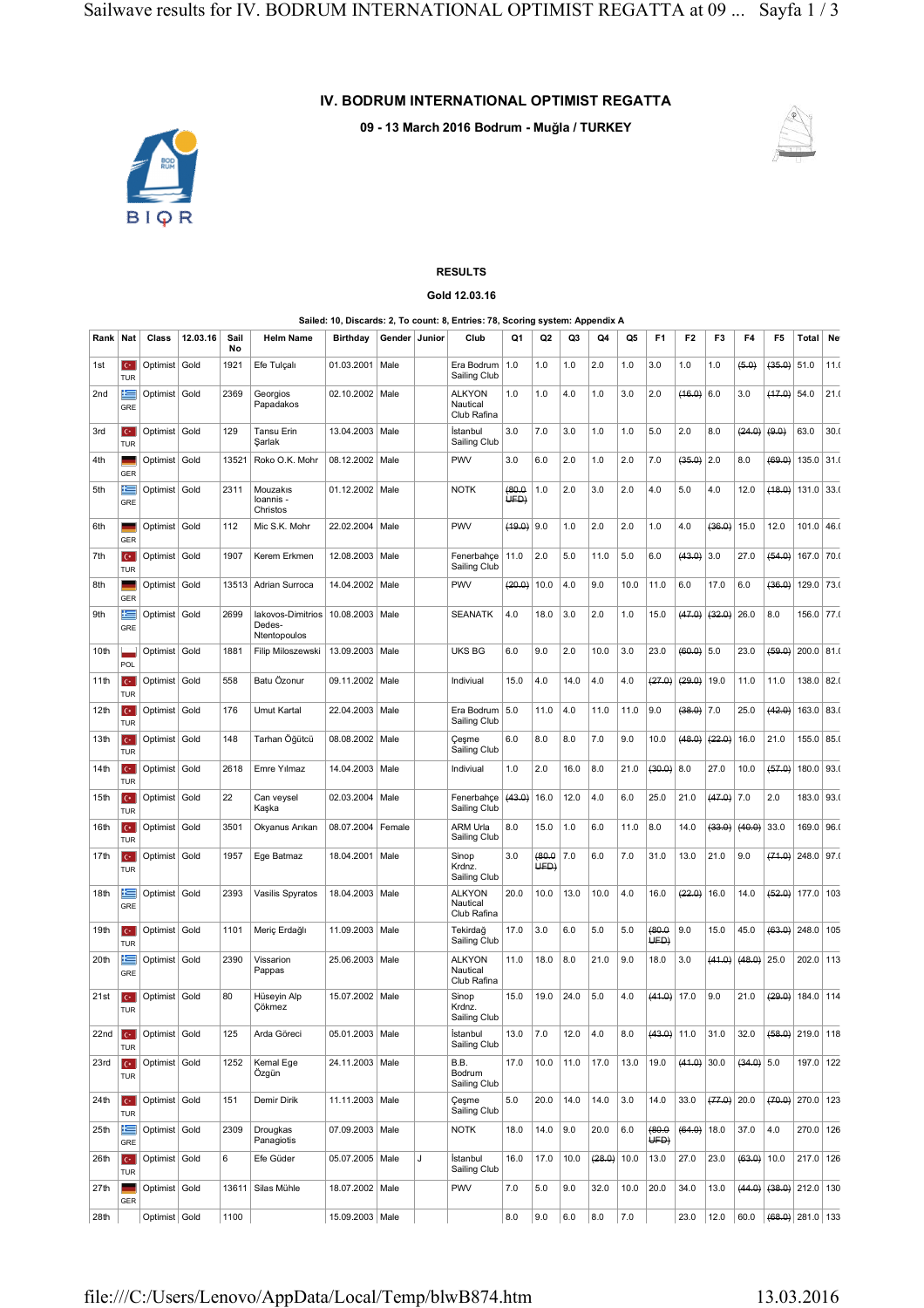## **IV. BODRUM INTERNATIONAL OPTIMIST REGATTA**

**09 - 13 March 2016 Bodrum - Muğla / TURKEY**



## **RESULTS Gold 12.03.16**

## **Sailed: 10, Discards: 2, To count: 8, Entries: 78, Scoring system: Appendix A**

| Rank             | Nat                                  | Class           | 12.03.16 | Sail<br>No | <b>Helm Name</b>                            | Birthday          | Gender | Junior | Club                                     | Q1            | Q2            | Q <sub>3</sub> | Q4     | Q5      | F1             | F <sub>2</sub> | F3            | F <sub>4</sub> | F <sub>5</sub>              | Total              | Ne   |
|------------------|--------------------------------------|-----------------|----------|------------|---------------------------------------------|-------------------|--------|--------|------------------------------------------|---------------|---------------|----------------|--------|---------|----------------|----------------|---------------|----------------|-----------------------------|--------------------|------|
| 1st              | $\mathbf{C}^*$<br><b>TUR</b>         | Optimist Gold   |          | 1921       | Efe Tulçalı                                 | 01.03.2001        | Male   |        | Era Bodrum<br>Sailing Club               | 1.0           | 1.0           | 1.0            | 2.0    | 1.0     | 3.0            | 1.0            | 1.0           | (5.0)          | (35.0)                      | 51.0               | 11.0 |
| 2nd              | 生<br>GRE                             | Optimist Gold   |          | 2369       | Georgios<br>Papadakos                       | 02.10.2002        | Male   |        | <b>ALKYON</b><br>Nautical<br>Club Rafina | 1.0           | 1.0           | 4.0            | 1.0    | 3.0     | 2.0            | (16.0)         | 6.0           | 3.0            | $(17.0)$ 54.0               |                    | 21.0 |
| 3rd              | $C^*$<br><b>TUR</b>                  | Optimist Gold   |          | 129        | Tansu Erin<br>Şarlak                        | 13.04.2003        | Male   |        | İstanbul<br>Sailing Club                 | 3.0           | 7.0           | 3.0            | 1.0    | 1.0     | 5.0            | 2.0            | 8.0           | (24.0)         | (9.0)                       | 63.0               | 30.0 |
| 4th              | GER                                  | Optimist Gold   |          | 13521      | Roko O.K. Mohr                              | 08.12.2002        | Male   |        | <b>PWV</b>                               | 3.0           | 6.0           | 2.0            | 1.0    | 2.0     | 7.0            | (35.0)         | 2.0           | 8.0            | (69.0)                      | 135.0              | 31.0 |
| 5th              | 片<br>GRE                             | Optimist Gold   |          | 2311       | Mouzakis<br>loannis -<br>Christos           | 01.12.2002        | Male   |        | <b>NOTK</b>                              | (80.0<br>UFD) | 1.0           | 2.0            | 3.0    | 2.0     | 4.0            | 5.0            | 4.0           | 12.0           | (18.0)                      | 131.0              | 33(  |
| 6th              | GER                                  | Optimist Gold   |          | 112        | Mic S.K. Mohr                               | 22.02.2004        | Male   |        | PWV                                      | (19.0)        | 9.0           | 1.0            | 2.0    | 2.0     | 1.0            | 4.0            | (36.0)        | 15.0           | 12.0                        | 101.0              | 46.0 |
| 7th              | $\mathbf{C}^*$<br><b>TUR</b>         | Optimist   Gold |          | 1907       | Kerem Erkmen                                | 12.08.2003        | Male   |        | Fenerbahçe<br>Sailing Club               | 11.0          | 2.0           | 5.0            | 11.0   | 5.0     | 6.0            | (43.0)         | 3.0           | 27.0           | (54.0)                      | 167.0              | 70.0 |
| 8th              | GER                                  | Optimist Gold   |          | 13513      | Adrian Surroca                              | 14.04.2002        | Male   |        | PWV                                      | (20.0)        | 10.0          | 4.0            | 9.0    | 10.0    | 11.0           | 6.0            | 17.0          | 6.0            | (36.0)                      | 129.0              | 73.0 |
| 9th              | 生<br>GRE                             | Optimist   Gold |          | 2699       | lakovos-Dimitrios<br>Dedes-<br>Ntentopoulos | 10.08.2003 Male   |        |        | <b>SEANATK</b>                           | 4.0           | 18.0          | 3.0            | 2.0    | 1.0     | 15.0           | (47.0)         | (32.0)        | 26.0           | 8.0                         | 156.0              | 77.0 |
| 10th             | <b>POL</b>                           | Optimist   Gold |          | 1881       | Filip Miloszewski                           | 13.09.2003        | Male   |        | <b>UKS BG</b>                            | 6.0           | 9.0           | 2.0            | 10.0   | 3.0     | 23.0           | $(60, 0)$ 5.0  |               | 23.0           | (59.0)                      | 200.0              | 81.0 |
| 11th             | $C^*$<br><b>TUR</b>                  | Optimist Gold   |          | 558        | Batu Özonur                                 | 09.11.2002        | Male   |        | Indiviual                                | 15.0          | 4.0           | 14.0           | 4.0    | 4.0     | (27.0)         | (20.0)         | 19.0          | 11.0           | 11.0                        | 138.0              | 82.0 |
| 12th             | $\mathbf{C}^*$<br><b>TUR</b>         | Optimist   Gold |          | 176        | Umut Kartal                                 | 22.04.2003 Male   |        |        | Era Bodrum<br>Sailing Club               | 5.0           | 11.0          | 4.0            | 11.0   | 11.0    | 9.0            | $(38.0)$ 7.0   |               | 25.0           | (42.0)                      | 163.0              | 83.0 |
| 13 <sub>th</sub> | $C^*$<br><b>TUR</b>                  | Optimist   Gold |          | 148        | Tarhan Öğütcü                               | 08.08.2002        | Male   |        | Cesme<br>Sailing Club                    | 6.0           | 8.0           | 8.0            | 7.0    | 9.0     | 10.0           | (48.0)         | (22.0)        | 16.0           | 21.0                        | 155.0              | 85.0 |
| 14 <sub>th</sub> | C.<br><b>TUR</b>                     | Optimist Gold   |          | 2618       | Emre Yılmaz                                 | 14.04.2003   Male |        |        | Indiviual                                | 1.0           | 2.0           | 16.0           | 8.0    | 21.0    | (30.0)         | 8.0            | 27.0          | 10.0           | (57.0)                      | 180.0              | 93.0 |
| 15th             | $\mathbf{C}^*$<br><b>TUR</b>         | Optimist   Gold |          | 22         | Can veysel<br>Kaşka                         | 02.03.2004        | Male   |        | Fenerbahce<br>Sailing Club               | (43.0)        | 16.0          | 12.0           | 4.0    | 6.0     | 25.0           | 21.0           | (47.0)        | 7.0            | 2.0                         | 183.0              | 93.0 |
| 16th             | $C^*$<br><b>TUR</b>                  | Optimist Gold   |          | 3501       | Okyanus Arıkan                              | 08.07.2004        | Female |        | <b>ARM Urla</b><br>Sailing Club          | 8.0           | 15.0          | 1.0            | 6.0    | 11.0    | 8.0            | 14.0           | (33.0)        | (40.0)         | 33.0                        | 169.0              | 96.0 |
| 17th             | $C^*$<br><b>TUR</b>                  | Optimist   Gold |          | 1957       | Ege Batmaz                                  | 18.04.2001        | Male   |        | Sinop<br>Krdnz.<br>Sailing Club          | 3.0           | (80.0)<br>UFD | 7.0            | 6.0    | 7.0     | 31.0           | 13.0           | 21.0          | 9.0            | (74.0)                      | 248.0              | 97.0 |
| 18th             | ⋐<br>GRE                             | Optimist   Gold |          | 2393       | Vasilis Spyratos                            | 18.04.2003 Male   |        |        | <b>ALKYON</b><br>Nautical<br>Club Rafina | 20.0          | 10.0          | 13.0           | 10.0   | 4.0     | 16.0           | (22.0)         | 16.0          | 14.0           | (52.0)                      | 177.0              | 103  |
| 19th             | $C^*$<br><b>TUR</b>                  | Optimist Gold   |          | 1101       | Meriç Erdağlı                               | 11.09.2003   Male |        |        | Tekirdağ<br>Sailing Club                 | 17.0          | 3.0           | 6.0            | 5.0    | 5.0     | (80.0<br>UED)  | 9.0            | 15.0          | 45.0           | (63.0)                      | 248.0              | 105  |
| 20th             | 生<br>GRE                             | Optimist Gold   |          | 2390       | Vissarion<br>Pappas                         | 25.06.2003        | Male   |        | <b>ALKYON</b><br>Nautical<br>Club Rafina | 11.0          | 18.0          | 8.0            | 21.0   | 9.0     | 18.0           | 3.0            | (41.0)        | (48.0)         | 25.0                        | 202.0              | 113  |
| 21st             | $\mathbf{C}^*$<br>TUR                | Optimist   Gold |          | 80         | Hüseyin Alp<br>Cökmez                       | 15.07.2002        | Male   |        | Sinop<br>Krdnz.<br>Sailing Club          | 15.0          | 19.0          | 24.0           | 5.0    | 4.0     | (41.0)         | 17.0           | 9.0           | 21.0           | (29.0)                      | 184.0              | 114  |
| 22nd             | $\mathbf{C}^{\star}$ .<br><b>TUR</b> | Optimist Gold   |          | 125        | Arda Göreci                                 | 05.01.2003 Male   |        |        | İstanbul<br>Sailing Club                 | 13.0          | 7.0           | 12.0           | 4.0    | 8.0     | $(43.0)$ 11.0  |                | 31.0          | 32.0           |                             | $(58.0)$ 219.0 118 |      |
| 23rd             | $C^*$<br><b>TUR</b>                  | Optimist Gold   |          | 1252       | Kemal Ege<br>Özgün                          | 24.11.2003        | Male   |        | B.B.<br>Bodrum<br>Sailing Club           | 17.0          | 10.0          | 11.0           | 17.0   | 13.0    | 19.0           | $(44.0)$ 30.0  |               | $(34.0)$ 5.0   |                             | 197.0 122          |      |
| 24th             | $C^*$<br><b>TUR</b>                  | Optimist Gold   |          | 151        | Demir Dirik                                 | 11.11.2003 Male   |        |        | Çeşme<br>Sailing Club                    | 5.0           | 20.0          | 14.0           | 14.0   | 3.0     | 14.0           | 33.0           | $(77.0)$ 20.0 |                |                             | $(70.0)$ 270.0     | 123  |
| 25th             | 隼<br>GRE                             | Optimist Gold   |          | 2309       | Drougkas<br>Panagiotis                      | 07.09.2003 Male   |        |        | <b>NOTK</b>                              | 18.0          | 14.0          | 9.0            | 20.0   | 6.0     | (80.0)<br>UED) | $(64.0)$ 18.0  |               | 37.0           | 4.0                         | 270.0 126          |      |
| 26th             | $C^*$<br>TUR                         | Optimist Gold   |          | 6          | Efe Güder                                   | 05.07.2005 Male   |        | J      | İstanbul<br>Sailing Club                 | 16.0          | 17.0          | 10.0           | (28.0) | 10.0    | 13.0           | 27.0           | 23.0          | $(63.0)$ 10.0  |                             | 217.0 126          |      |
| 27th             | GER                                  | Optimist Gold   |          |            | 13611 Silas Mühle                           | 18.07.2002 Male   |        |        | PWV                                      | 7.0           | 5.0           | 9.0            | 32.0   | 10.0    | 20.0           | 34.0           | 13.0          |                | $(44.0)$ $(38.0)$ 212.0 130 |                    |      |
| 28th             |                                      | Optimist Gold   |          | 1100       |                                             | 15.09.2003 Male   |        |        |                                          | 8.0           | 9.0           | 6.0            | 8.0    | $7.0\,$ |                | 23.0           | 12.0          | 60.0           |                             | $(68.0)$ 281.0 133 |      |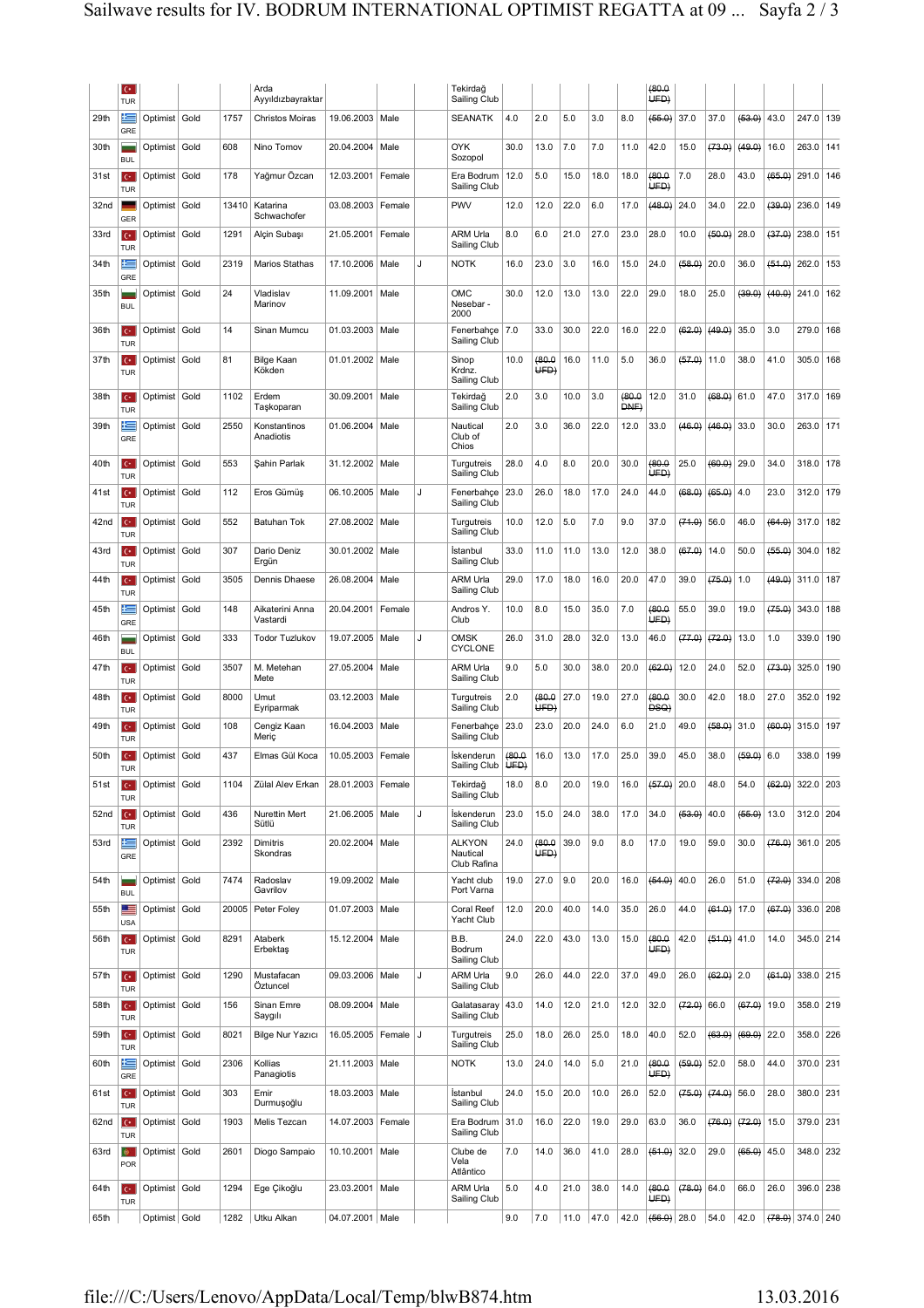|                  | $\mathbf{C}^*$<br><b>TUR</b> |                 |      |       | Arda<br>Ayyıldızbayraktar   |                         |        |              | Tekirdağ<br>Sailing Club                 |                |                |      |      |               | (80.0<br>UFD   |               |               |               |                    |           |     |
|------------------|------------------------------|-----------------|------|-------|-----------------------------|-------------------------|--------|--------------|------------------------------------------|----------------|----------------|------|------|---------------|----------------|---------------|---------------|---------------|--------------------|-----------|-----|
| 29th             | 迋<br>GRE                     | Optimist Gold   |      | 1757  | <b>Christos Moiras</b>      | 19.06.2003   Male       |        |              | <b>SEANATK</b>                           | 4.0            | 2.0            | 5.0  | 3.0  | 8.0           | (66.0)         | 37.0          | 37.0          | (63.0)        | 43.0               | 247.0     | 139 |
| 30th             | <b>BUL</b>                   | Optimist   Gold |      | 608   | Nino Tomov                  | 20.04.2004              | Male   |              | <b>OYK</b><br>Sozopol                    | 30.0           | 13.0           | 7.0  | 7.0  | 11.0          | 42.0           | 15.0          | (73.0)        | (49.0)        | 16.0               | 263.0     | 141 |
| 31st             | $\mathbf{C}^*$<br>TUR        | Optimist        | Gold | 178   | Yağmur Özcan                | 12.03.2001              | Female |              | Era Bodrum<br>Sailing Club               | 12.0           | 5.0            | 15.0 | 18.0 | 18.0          | (80.0)<br>UFD) | 7.0           | 28.0          | 43.0          | (65.0)             | 291.0     | 146 |
| 32nd             | GER                          | Optimist Gold   |      | 13410 | Katarina<br>Schwachofer     | 03.08.2003 Female       |        |              | PWV                                      | 12.0           | 12.0           | 22.0 | 6.0  | 17.0          | (48.0)         | 24.0          | 34.0          | 22.0          | (39.0)             | 236.0     | 149 |
| 33rd             | IC.<br>TUR                   | Optimist        | Gold | 1291  | Alçin Subaşı                | 21.05.2001              | Female |              | ARM Urla<br>Sailing Club                 | 8.0            | 6.0            | 21.0 | 27.0 | 23.0          | 28.0           | 10.0          | (60.0)        | 28.0          | (37.0)             | 238.0     | 151 |
| 34th             | 트<br>GRE                     | Optimist   Gold |      | 2319  | Marios Stathas              | 17.10.2006              | Male   | $\mathbf{J}$ | <b>NOTK</b>                              | 16.0           | 23.0           | 3.0  | 16.0 | 15.0          | 24.0           | (68.0)        | 20.0          | 36.0          | $(64.0)$ 262.0     |           | 153 |
| 35th             | <b>BUL</b>                   | Optimist Gold   |      | 24    | Vladislav<br>Marinov        | 11.09.2001              | Male   |              | OMC<br>Nesebar -<br>2000                 | 30.0           | 12.0           | 13.0 | 13.0 | 22.0          | 29.0           | 18.0          | 25.0          | (39.0)        | $(40.0)$ 241.0     |           | 162 |
| 36th             | $C^*$<br><b>TUR</b>          | Optimist Gold   |      | 14    | Sinan Mumcu                 | 01.03.2003              | Male   |              | Fenerbahçe<br>Sailing Club               | 7.0            | 33.0           | 30.0 | 22.0 | 16.0          | 22.0           | (62.0)        | (49.0)        | 35.0          | 3.0                | 279.0     | 168 |
| 37th             | $\mathbf{C}^*$<br>TUR        | Optimist   Gold |      | 81    | <b>Bilge Kaan</b><br>Kökden | 01.01.2002   Male       |        |              | Sinop<br>Krdnz.<br>Sailing Club          | 10.0           | (80.0)<br>UFD  | 16.0 | 11.0 | 5.0           | 36.0           | $(57.0)$ 11.0 |               | 38.0          | 41.0               | 305.0     | 168 |
| 38th             | $\mathbf{C}^*$<br>TUR        | Optimist Gold   |      | 1102  | Erdem<br>Taşkoparan         | 30.09.2001              | Male   |              | Tekirdağ<br>Sailing Club                 | 2.0            | 3.0            | 10.0 | 3.0  | 0.08(<br>DNE) | 12.0           | 31.0          | (68.0)        | 61.0          | 47.0               | 317.0     | 169 |
| 39th             | 트<br>GRE                     | Optimist Gold   |      | 2550  | Konstantinos<br>Anadiotis   | 01.06.2004              | Male   |              | Nautical<br>Club of<br>Chios             | 2.0            | 3.0            | 36.0 | 22.0 | 12.0          | 33.0           | (46.0)        | (46.0)        | 33.0          | 30.0               | 263.0     | 171 |
| 40th             | IC.<br><b>TUR</b>            | Optimist Gold   |      | 553   | Şahin Parlak                | 31.12.2002 Male         |        |              | Turgutreis<br>Sailing Club               | 28.0           | 4.0            | 8.0  | 20.0 | 30.0          | (80.0<br>UED)  | 25.0          | (60.0)        | 29.0          | 34.0               | 318.0     | 178 |
| 41st             | $\mathbf{C}^*$<br>TUR        | Optimist        | Gold | 112   | Eros Gümüş                  | 06.10.2005              | Male   | J            | Fenerbahçe<br>Sailing Club               | 23.0           | 26.0           | 18.0 | 17.0 | 24.0          | 44.0           | (68.0)        | (65.0)        | 4.0           | 23.0               | 312.0     | 179 |
| 42nd             | $\mathbf{C}^*$<br><b>TUR</b> | Optimist Gold   |      | 552   | Batuhan Tok                 | 27.08.2002              | Male   |              | Turgutreis<br>Sailing Club               | 10.0           | 12.0           | 5.0  | 7.0  | 9.0           | 37.0           | (74.0)        | 56.0          | 46.0          | $(64.0)$ 317.0     |           | 182 |
| 43rd             | ю<br>TUR                     | Optimist        | Gold | 307   | Dario Deniz<br>Ergün        | 30.01.2002              | Male   |              | Istanbul<br>Sailing Club                 | 33.0           | 11.0           | 11.0 | 13.0 | 12.0          | 38.0           | (67.0)        | 14.0          | 50.0          | (66.0)             | 304.0     | 182 |
| 44th             | $\mathbf{C}^*$<br><b>TUR</b> | Optimist   Gold |      | 3505  | Dennis Dhaese               | 26.08.2004              | Male   |              | ARM Urla<br>Sailing Club                 | 29.0           | 17.0           | 18.0 | 16.0 | 20.0          | 47.0           | 39.0          | (75.0)        | 1.0           | (49.0)             | 311.0     | 187 |
| 45th             | 医<br>GRE                     | Optimist Gold   |      | 148   | Aikaterini Anna<br>Vastardi | 20.04.2001              | Female |              | Andros Y.<br>Club                        | 10.0           | 8.0            | 15.0 | 35.0 | 7.0           | (80.0<br>UED)  | 55.0          | 39.0          | 19.0          | (75.0)             | 343.0     | 188 |
| 46th             | <b>BUL</b>                   | Optimist Gold   |      | 333   | <b>Todor Tuzlukov</b>       | 19.07.2005   Male       |        | J            | <b>OMSK</b><br><b>CYCLONE</b>            | 26.0           | 31.0           | 28.0 | 32.0 | 13.0          | 46.0           | (77.0)        | (72.0)        | 13.0          | 1.0                | 339.0     | 190 |
| 47th             | ю<br><b>TUR</b>              | Optimist Gold   |      | 3507  | M. Metehan<br>Mete          | 27.05.2004              | Male   |              | ARM Urla<br>Sailing Club                 | 9.0            | 5.0            | 30.0 | 38.0 | 20.0          | (62.0)         | 12.0          | 24.0          | 52.0          | (73.0)             | 325.0     | 190 |
| 48th             | lc+.<br>TUR                  | Optimist        | Gold | 8000  | Umut<br>Eyriparmak          | 03.12.2003              | Male   |              | Turgutreis<br>Sailing Club               | 2.0            | (80.0)<br>UFD) | 27.0 | 19.0 | 27.0          | (80.0)<br>DSQ) | 30.0          | 42.0          | 18.0          | 27.0               | 352.0     | 192 |
| 49th             | $C^*$<br><b>TUR</b>          | Optimist   Gold |      | 108   | Cengiz Kaan<br>Meric        | 16.04.2003              | Male   |              | Fenerbahçe<br>Sailing Club               | 23.0           | 23.0           | 20.0 | 24.0 | 6.0           | 21.0           | 49.0          | (58.0)        | 31.0          | (60.0)             | 315.0 197 |     |
| 50th             | $\mathbf{C}^*$<br>TUR        | Optimist   Gold |      | 437   | Elmas Gül Koca              | 10.05.2003   Female     |        |              | Iskenderun<br>Sailing Club               | (80.0)<br>UED) | 16.0           | 13.0 | 17.0 | 25.0          | 39.0           | 45.0          | 38.0          | (59.0)        | 6.0                | 338.0     | 199 |
| 51st             | $C^*$<br><b>TUR</b>          | Optimist Gold   |      | 1104  | Zülal Alev Erkan            | 28.01.2003              | Female |              | Tekirdağ<br>Sailing Club                 | 18.0           | 8.0            | 20.0 | 19.0 | 16.0          | (57.0)         | 20.0          | 48.0          | 54.0          | (62.0)             | 322.0     | 203 |
| 52 <sub>nd</sub> | $\mathbf{C}^*$<br><b>TUR</b> | Optimist Gold   |      | 436   | Nurettin Mert<br>Sütlü      | 21.06.2005 Male         |        | J            | İskenderun<br>Sailing Club               | 23.0           | 15.0           | 24.0 | 38.0 | 17.0          | 34.0           | (63.0)        | 40.0          | $(66.0)$ 13.0 |                    | 312.0 204 |     |
| 53rd             | 隼<br>GRE                     | Optimist Gold   |      | 2392  | Dimitris<br>Skondras        | 20.02.2004              | Male   |              | <b>ALKYON</b><br>Nautical<br>Club Rafina | 24.0           | (80.0)<br>UFD) | 39.0 | 9.0  | 8.0           | 17.0           | 19.0          | 59.0          | 30.0          | $(76.0)$ 361.0     |           | 205 |
| 54th             | <b>BUL</b>                   | Optimist Gold   |      | 7474  | Radoslav<br>Gavrilov        | 19.09.2002   Male       |        |              | Yacht club<br>Port Varna                 | 19.0           | 27.0           | 9.0  | 20.0 | 16.0          | (54.0)         | 40.0          | 26.0          | 51.0          | $(72.0)$ 334.0     |           | 208 |
| 55th             | <u>i s</u><br><b>USA</b>     | Optimist Gold   |      | 20005 | Peter Foley                 | 01.07.2003 Male         |        |              | Coral Reef<br>Yacht Club                 | 12.0           | 20.0           | 40.0 | 14.0 | 35.0          | 26.0           | 44.0          | (61.0)        | 17.0          | (67.0)             | 336.0     | 208 |
| 56th             | $C^*$<br><b>TUR</b>          | Optimist Gold   |      | 8291  | Ataberk<br>Erbektaş         | 15.12.2004              | Male   |              | B.B.<br>Bodrum<br>Sailing Club           | 24.0           | 22.0           | 43.0 | 13.0 | 15.0          | (80.0<br>UED)  | 42.0          | $(51.0)$ 41.0 |               | 14.0               | 345.0 214 |     |
| 57th             | $\mathbf{C}^*$<br><b>TUR</b> | Optimist Gold   |      | 1290  | Mustafacan<br>Öztuncel      | 09.03.2006   Male       |        | J            | ARM Urla<br>Sailing Club                 | 9.0            | 26.0           | 44.0 | 22.0 | 37.0          | 49.0           | 26.0          | $(62.0)$ 2.0  |               | (61.0)             | 338.0 215 |     |
| 58th             | $C^*$<br><b>TUR</b>          | Optimist Gold   |      | 156   | Sinan Emre<br>Saygılı       | 08.09.2004              | Male   |              | Galatasaray<br>Sailing Club              | 43.0           | 14.0           | 12.0 | 21.0 | 12.0          | 32.0           | (72.0)        | 66.0          | $(67.0)$ 19.0 |                    | 358.0 219 |     |
| 59th             | $C^*$<br><b>TUR</b>          | Optimist Gold   |      | 8021  | <b>Bilge Nur Yazıcı</b>     | 16.05.2005   Female   J |        |              | Turgutreis<br>Sailing Club               | 25.0           | 18.0           | 26.0 | 25.0 | 18.0          | 40.0           | 52.0          | (63.0)        | $(69.0)$ 22.0 |                    | 358.0     | 226 |
| 60th             | 트<br>GRE                     | Optimist   Gold |      | 2306  | Kollias<br>Panagiotis       | 21.11.2003 Male         |        |              | <b>NOTK</b>                              | 13.0           | 24.0           | 14.0 | 5.0  | 21.0          | (80.0)<br>UED) | (59.0)        | 52.0          | 58.0          | 44.0               | 370.0     | 231 |
| 61st             | $C^*$<br><b>TUR</b>          | Optimist   Gold |      | 303   | Emir<br>Durmuşoğlu          | 18.03.2003              | Male   |              | İstanbul<br>Sailing Club                 | 24.0           | 15.0           | 20.0 | 10.0 | 26.0          | 52.0           | (75.0)        | (74.0)        | 56.0          | 28.0               | 380.0     | 231 |
| 62nd             | $C^*$<br>TUR                 | Optimist   Gold |      | 1903  | Melis Tezcan                | 14.07.2003 Female       |        |              | Era Bodrum 31.0<br>Sailing Club          |                | 16.0           | 22.0 | 19.0 | 29.0          | 63.0           | 36.0          | (76.0)        | (72.0)        | 15.0               | 379.0 231 |     |
| 63rd             | ۰<br>POR                     | Optimist Gold   |      | 2601  | Diogo Sampaio               | 10.10.2001              | Male   |              | Clube de<br>Vela<br>Atlântico            | 7.0            | 14.0           | 36.0 | 41.0 | 28.0          | (64.0)         | 32.0          | 29.0          | $(66.0)$ 45.0 |                    | 348.0 232 |     |
| 64th             | $C^*$<br><b>TUR</b>          | Optimist Gold   |      | 1294  | Ege Çikoğlu                 | 23.03.2001              | Male   |              | <b>ARM Urla</b><br>Sailing Club          | 5.0            | 4.0            | 21.0 | 38.0 | 14.0          | (80.0)<br>UFD) | (78.0) 64.0   |               | 66.0          | 26.0               | 396.0     | 238 |
| 65th             |                              | Optimist Gold   |      | 1282  | Utku Alkan                  | 04.07.2001 Male         |        |              |                                          | 9.0            | 7.0            | 11.0 | 47.0 | 42.0          | $(66.0)$ 28.0  |               | 54.0          | 42.0          | $(78.0)$ 374.0 240 |           |     |